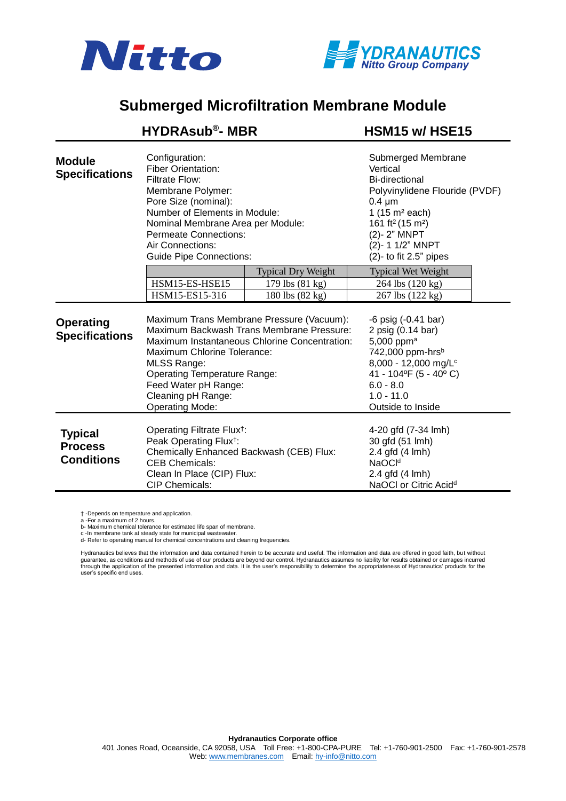



## **Submerged Microfiltration Membrane Module**

|                                                       | <b>HYDRAsub®- MBR</b>                                                                                                                                                                                                                                                                                       |                           | HSM15 w/HSE15                                                                                                                                                                                                                                             |  |
|-------------------------------------------------------|-------------------------------------------------------------------------------------------------------------------------------------------------------------------------------------------------------------------------------------------------------------------------------------------------------------|---------------------------|-----------------------------------------------------------------------------------------------------------------------------------------------------------------------------------------------------------------------------------------------------------|--|
| <b>Module</b><br><b>Specifications</b>                | Configuration:<br><b>Fiber Orientation:</b><br>Filtrate Flow:<br>Membrane Polymer:<br>Pore Size (nominal):<br>Number of Elements in Module:<br>Nominal Membrane Area per Module:<br><b>Permeate Connections:</b><br>Air Connections:<br><b>Guide Pipe Connections:</b>                                      |                           | Submerged Membrane<br>Vertical<br><b>Bi-directional</b><br>Polyvinylidene Flouride (PVDF)<br>$0.4 \mu m$<br>1 $(15 \text{ m}^2 \text{ each})$<br>161 ft <sup>2</sup> (15 m <sup>2</sup> )<br>(2)-2" MNPT<br>(2)- 1 1/2" MNPT<br>$(2)$ - to fit 2.5" pipes |  |
|                                                       |                                                                                                                                                                                                                                                                                                             | <b>Typical Dry Weight</b> | <b>Typical Wet Weight</b>                                                                                                                                                                                                                                 |  |
|                                                       | HSM15-ES-HSE15                                                                                                                                                                                                                                                                                              | 179 lbs (81 kg)           | 264 lbs (120 kg)                                                                                                                                                                                                                                          |  |
|                                                       | HSM15-ES15-316                                                                                                                                                                                                                                                                                              | 180 lbs (82 kg)           | 267 lbs (122 kg)                                                                                                                                                                                                                                          |  |
| <b>Operating</b><br><b>Specifications</b>             | Maximum Trans Membrane Pressure (Vacuum):<br>Maximum Backwash Trans Membrane Pressure:<br>Maximum Instantaneous Chlorine Concentration:<br>Maximum Chlorine Tolerance:<br><b>MLSS Range:</b><br><b>Operating Temperature Range:</b><br>Feed Water pH Range:<br>Cleaning pH Range:<br><b>Operating Mode:</b> |                           | $-6$ psig $(-0.41$ bar)<br>2 psig (0.14 bar)<br>5,000 ppm <sup>a</sup><br>742,000 ppm-hrsb<br>8,000 - 12,000 mg/L <sup>c</sup><br>41 - 104°F (5 - 40°C)<br>$6.0 - 8.0$<br>$1.0 - 11.0$<br>Outside to Inside                                               |  |
| <b>Typical</b><br><b>Process</b><br><b>Conditions</b> | Operating Filtrate Flux <sup>†</sup> :<br>Peak Operating Flux <sup>†</sup> :<br>Chemically Enhanced Backwash (CEB) Flux:<br><b>CEB Chemicals:</b><br>Clean In Place (CIP) Flux:<br><b>CIP Chemicals:</b>                                                                                                    |                           | 4-20 gfd (7-34 lmh)<br>30 gfd (51 lmh)<br>2.4 gfd (4 lmh)<br>NaOCI <sup>d</sup><br>2.4 gfd (4 lmh)<br>NaOCI or Citric Acid <sup>d</sup>                                                                                                                   |  |

† -Depends on temperature and application.

a -For a maximum of 2 hours.<br>b- Maximum chemical tolerance for estimated life span of membrane.<br>c -In membrane tank at steady state for municipal wastewater.<br>d- Refer to operating manual for chemical concentrations and cle

Hydranautics believes that the information and data contained herein to be accurate and useful. The information and data are offered in good faith, but without guarantee, as conditions and methods of use of our products are beyond our control. Hydranautics assumes no liability for results obtained or damages incurred<br>through the application of the presented information and data.